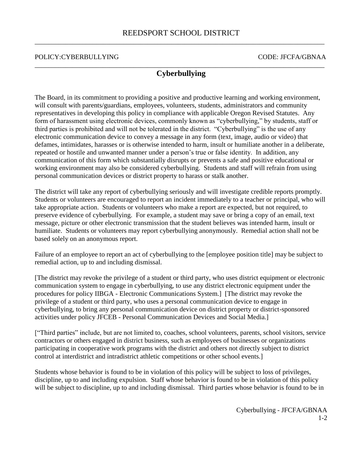## POLICY:CYBERBULLYING THE CODE: JFCFA/GBNAA

## \_\_\_\_\_\_\_\_\_\_\_\_\_\_\_\_\_\_\_\_\_\_\_\_\_\_\_\_\_\_\_\_\_\_\_\_\_\_\_\_\_\_\_\_\_\_\_\_\_\_\_\_\_\_\_\_\_\_\_\_\_\_\_\_\_\_\_\_\_\_\_\_\_\_\_\_\_\_\_\_\_\_\_\_\_ **Cyberbullying**

The Board, in its commitment to providing a positive and productive learning and working environment, will consult with parents/guardians, employees, volunteers, students, administrators and community representatives in developing this policy in compliance with applicable Oregon Revised Statutes. Any form of harassment using electronic devices, commonly known as "cyberbullying," by students, staff or third parties is prohibited and will not be tolerated in the district. "Cyberbullying" is the use of any electronic communication device to convey a message in any form (text, image, audio or video) that defames, intimidates, harasses or is otherwise intended to harm, insult or humiliate another in a deliberate, repeated or hostile and unwanted manner under a person's true or false identity. In addition, any communication of this form which substantially disrupts or prevents a safe and positive educational or working environment may also be considered cyberbullying. Students and staff will refrain from using personal communication devices or district property to harass or stalk another.

The district will take any report of cyberbullying seriously and will investigate credible reports promptly. Students or volunteers are encouraged to report an incident immediately to a teacher or principal, who will take appropriate action. Students or volunteers who make a report are expected, but not required, to preserve evidence of cyberbullying. For example, a student may save or bring a copy of an email, text message, picture or other electronic transmission that the student believes was intended harm, insult or humiliate. Students or volunteers may report cyberbullying anonymously. Remedial action shall not be based solely on an anonymous report.

Failure of an employee to report an act of cyberbullying to the [employee position title] may be subject to remedial action, up to and including dismissal.

[The district may revoke the privilege of a student or third party, who uses district equipment or electronic communication system to engage in cyberbullying, to use any district electronic equipment under the procedures for policy IIBGA - Electronic Communications System.] [The district may revoke the privilege of a student or third party, who uses a personal communication device to engage in cyberbullying, to bring any personal communication device on district property or district-sponsored activities under policy JFCEB - Personal Communication Devices and Social Media.]

["Third parties" include, but are not limited to, coaches, school volunteers, parents, school visitors, service contractors or others engaged in district business, such as employees of businesses or organizations participating in cooperative work programs with the district and others not directly subject to district control at interdistrict and intradistrict athletic competitions or other school events.]

Students whose behavior is found to be in violation of this policy will be subject to loss of privileges, discipline, up to and including expulsion. Staff whose behavior is found to be in violation of this policy will be subject to discipline, up to and including dismissal. Third parties whose behavior is found to be in